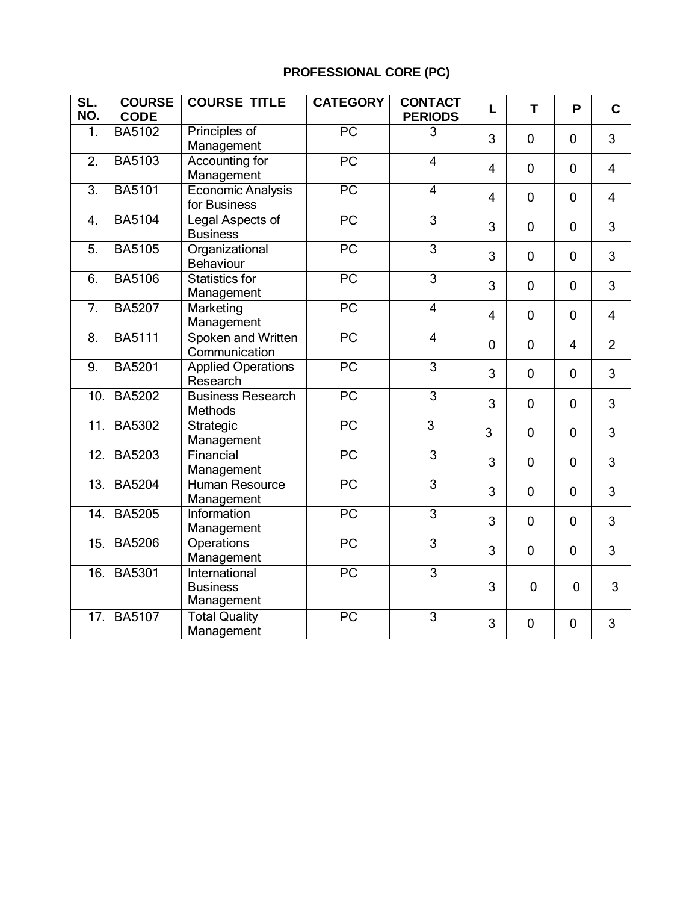# **PROFESSIONAL CORE (PC)**

| SL.<br>NO. | <b>COURSE</b><br><b>CODE</b> | <b>COURSE TITLE</b>                            | <b>CATEGORY</b> | <b>CONTACT</b><br><b>PERIODS</b> | L              | T              | P              | $\mathbf C$    |
|------------|------------------------------|------------------------------------------------|-----------------|----------------------------------|----------------|----------------|----------------|----------------|
| 1.         | <b>BA5102</b>                | Principles of<br>Management                    | PC              | 3                                | 3              | $\mathbf 0$    | $\overline{0}$ | 3              |
| 2.         | <b>BA5103</b>                | Accounting for<br>Management                   | PC              | $\overline{4}$                   | 4              | $\mathbf 0$    | $\overline{0}$ | $\overline{4}$ |
| 3.         | <b>BA5101</b>                | <b>Economic Analysis</b><br>for Business       | PC              | $\overline{4}$                   | $\overline{4}$ | $\mathbf 0$    | $\overline{0}$ | $\overline{4}$ |
| 4.         | <b>BA5104</b>                | Legal Aspects of<br><b>Business</b>            | $\overline{PC}$ | $\overline{3}$                   | 3              | $\mathbf 0$    | $\mathbf 0$    | 3              |
| 5.         | <b>BA5105</b>                | Organizational<br><b>Behaviour</b>             | PC              | 3                                | 3              | $\mathbf 0$    | $\mathbf 0$    | 3              |
| 6.         | <b>BA5106</b>                | <b>Statistics for</b><br>Management            | PC              | $\overline{3}$                   | 3              | $\mathbf 0$    | $\overline{0}$ | 3              |
| 7.         | <b>BA5207</b>                | Marketing<br>Management                        | PC              | $\overline{4}$                   | 4              | $\mathbf 0$    | $\mathbf{0}$   | 4              |
| 8.         | <b>BA5111</b>                | Spoken and Written<br>Communication            | $\overline{PC}$ | $\overline{4}$                   | $\mathbf 0$    | $\mathbf 0$    | $\overline{4}$ | $\overline{2}$ |
| 9.         | <b>BA5201</b>                | <b>Applied Operations</b><br>Research          | $\overline{PC}$ | $\overline{3}$                   | 3              | $\mathbf 0$    | $\mathbf 0$    | 3              |
| 10.        | <b>BA5202</b>                | <b>Business Research</b><br><b>Methods</b>     | $\overline{PC}$ | $\overline{3}$                   | 3              | $\overline{0}$ | $\mathbf 0$    | 3              |
| 11.        | <b>BA5302</b>                | Strategic<br>Management                        | $\overline{PC}$ | $\overline{3}$                   | 3              | $\overline{0}$ | $\overline{0}$ | 3              |
| 12.        | <b>BA5203</b>                | Financial<br>Management                        | $\overline{PC}$ | $\overline{3}$                   | 3              | $\overline{0}$ | $\overline{0}$ | 3              |
| 13.        | <b>BA5204</b>                | <b>Human Resource</b><br>Management            | $\overline{PC}$ | 3                                | 3              | $\overline{0}$ | $\overline{0}$ | 3              |
| 14.        | <b>BA5205</b>                | Information<br>Management                      | $\overline{PC}$ | $\overline{3}$                   | 3              | $\overline{0}$ | $\overline{0}$ | 3              |
| 15.        | <b>BA5206</b>                | Operations<br>Management                       | PC              | 3                                | 3              | $\overline{0}$ | $\overline{0}$ | 3              |
| 16.        | <b>BA5301</b>                | International<br><b>Business</b><br>Management | $\overline{PC}$ | $\overline{3}$                   | 3              | $\overline{0}$ | $\mathbf 0$    | 3              |
| 17.        | <b>BA5107</b>                | <b>Total Quality</b><br>Management             | PC              | 3                                | 3              | $\overline{0}$ | $\overline{0}$ | 3              |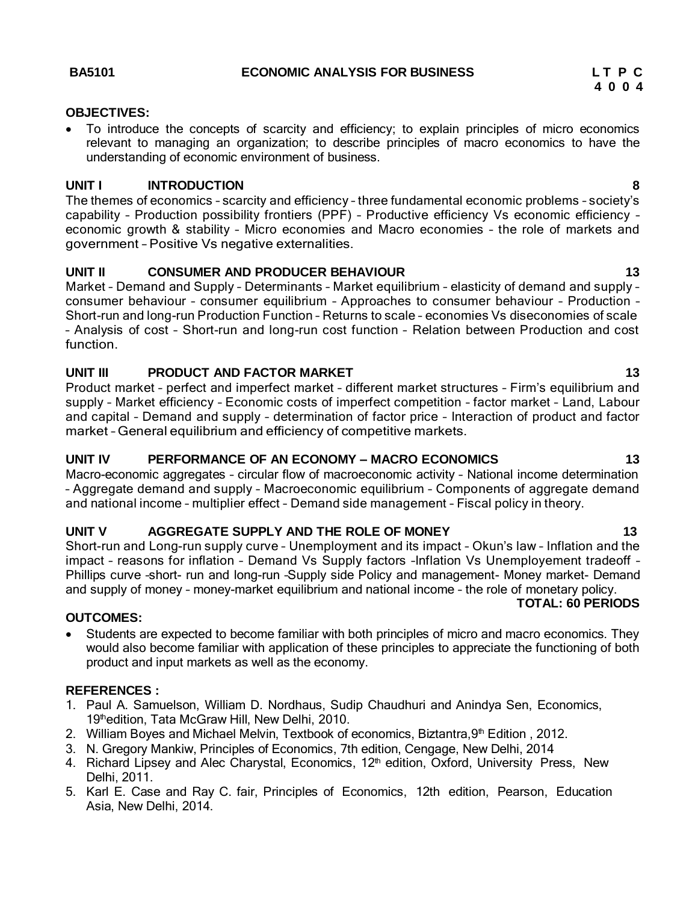#### **OBJECTIVES:**

 To introduce the concepts of scarcity and efficiency; to explain principles of micro economics relevant to managing an organization; to describe principles of macro economics to have the understanding of economic environment of business.

#### **UNIT I INTRODUCTION 8**

The themes of economics – scarcity and efficiency – three fundamental economic problems – society's capability – Production possibility frontiers (PPF) – Productive efficiency Vs economic efficiency – economic growth & stability – Micro economies and Macro economies – the role of markets and government – Positive Vs negative externalities.

### **UNIT II CONSUMER AND PRODUCER BEHAVIOUR 13**

Market – Demand and Supply – Determinants – Market equilibrium – elasticity of demand and supply – consumer behaviour – consumer equilibrium – Approaches to consumer behaviour – Production – Short-run and long-run Production Function – Returns to scale – economies Vs diseconomies of scale – Analysis of cost – Short-run and long-run cost function – Relation between Production and cost function.

### **UNIT III PRODUCT AND FACTOR MARKET 13**

Product market – perfect and imperfect market – different market structures – Firm's equilibrium and supply – Market efficiency – Economic costs of imperfect competition – factor market – Land, Labour and capital – Demand and supply – determination of factor price – Interaction of product and factor market – General equilibrium and efficiency of competitive markets.

#### **UNIT IV PERFORMANCE OF AN ECONOMY – MACRO ECONOMICS 13**

Macro-economic aggregates – circular flow of macroeconomic activity – National income determination – Aggregate demand and supply – Macroeconomic equilibrium – Components of aggregate demand and national income – multiplier effect – Demand side management – Fiscal policy in theory.

#### **UNIT V AGGREGATE SUPPLY AND THE ROLE OF MONEY 13**

Short-run and Long-run supply curve – Unemployment and its impact – Okun's law – Inflation and the impact – reasons for inflation – Demand Vs Supply factors –Inflation Vs Unemployement tradeoff – Phillips curve –short- run and long-run –Supply side Policy and management- Money market- Demand and supply of money – money-market equilibrium and national income – the role of monetary policy. **TOTAL: 60 PERIODS**

#### **OUTCOMES:**

• Students are expected to become familiar with both principles of micro and macro economics. They would also become familiar with application of these principles to appreciate the functioning of both product and input markets as well as the economy.

#### **REFERENCES :**

- 1. Paul A. Samuelson, William D. Nordhaus, Sudip Chaudhuri and Anindya Sen, Economics, 19thedition, Tata McGraw Hill, New Delhi, 2010.
- 2. William Boyes and Michael Melvin, Textbook of economics, Biztantra,  $9<sup>th</sup>$  Edition, 2012.
- 3. N. Gregory Mankiw, Principles of Economics, 7th edition, Cengage, New Delhi, 2014
- 4. Richard Lipsey and Alec Charystal, Economics, 12<sup>th</sup> edition, Oxford, University Press, New Delhi, 2011.
- 5. Karl E. Case and Ray C. fair, Principles of Economics, 12th edition, Pearson, Education Asia, New Delhi, 2014.

**4 0 0 4**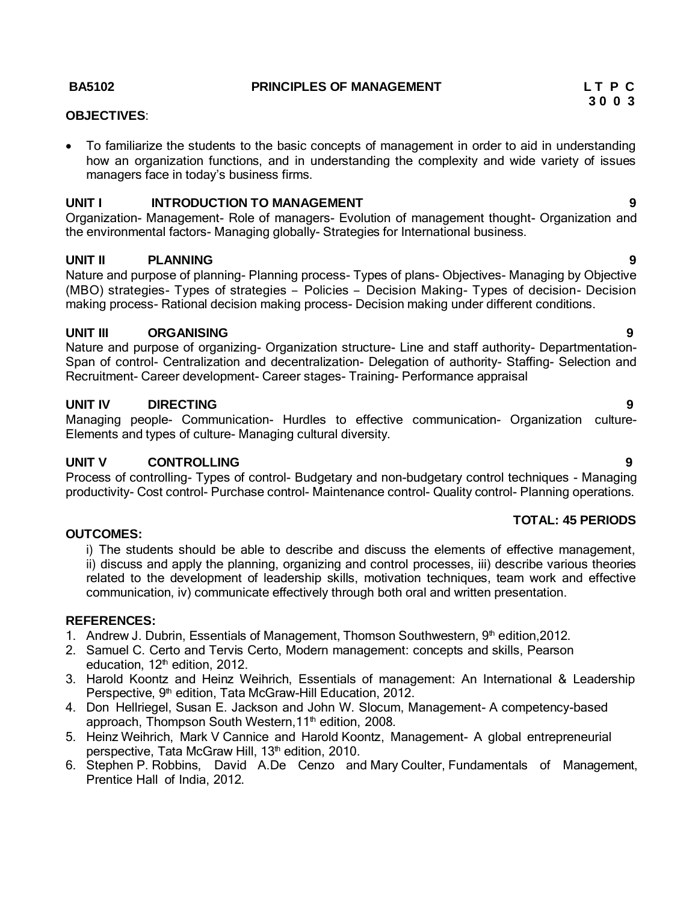#### **BA5102 PRINCIPLES OF MANAGEMENT L T P C**

#### **OBJECTIVES**:

• To familiarize the students to the basic concepts of management in order to aid in understanding how an organization functions, and in understanding the complexity and wide variety of issues managers face in today's business firms.

#### **UNIT I INTRODUCTION TO MANAGEMENT 9**

Organization- Management- Role of managers- Evolution of management thought- Organization and the environmental factors- Managing globally- Strategies for International business.

#### **UNIT II PLANNING 9**

Nature and purpose of planning- Planning process- Types of plans- Objectives- Managing by Objective (MBO) strategies- Types of strategies – Policies – Decision Making- Types of decision- Decision making process- Rational decision making process- Decision making under different conditions.

#### **UNIT III ORGANISING 9**

Nature and purpose of organizing- Organization structure- Line and staff authority- Departmentation-Span of control- Centralization and decentralization- Delegation of authority- Staffing- Selection and Recruitment- Career development- Career stages- Training- Performance appraisal

#### **UNIT IV DIRECTING 9**

Managing people- Communication- Hurdles to effective communication- Organization culture-Elements and types of culture- Managing cultural diversity.

#### **UNIT V CONTROLLING 9**

Process of controlling- Types of control- Budgetary and non-budgetary control techniques - Managing productivity- Cost control- Purchase control- Maintenance control- Quality control- Planning operations.

#### **TOTAL: 45 PERIODS**

#### **OUTCOMES:**

i) The students should be able to describe and discuss the elements of effective management, ii) discuss and apply the planning, organizing and control processes, iii) describe various theories related to the development of leadership skills, motivation techniques, team work and effective communication, iv) communicate effectively through both oral and written presentation.

#### **REFERENCES:**

- 1. Andrew J. Dubrin, Essentials of Management, Thomson Southwestern, 9<sup>th</sup> edition, 2012.
- 2. Samuel C. Certo and Tervis Certo, Modern management: concepts and skills, Pearson education,  $12<sup>th</sup>$  edition, 2012.
- 3. Harold Koontz and Heinz Weihrich, Essentials of management: An International & Leadership Perspective, 9<sup>th</sup> edition, Tata McGraw-Hill Education, 2012.
- 4. Don Hellriegel, Susan E. Jackson and John W. Slocum, Management- A competency-based approach, Thompson South Western, 11<sup>th</sup> edition, 2008.
- 5. Heinz Weihrich, Mark V Cannice and Harold Koontz, Management- A global entrepreneurial perspective, Tata McGraw Hill, 13<sup>th</sup> edition, 2010.
- 6. Stephen P. Robbins, David A.De Cenzo and Mary Coulter, Fundamentals of Management, Prentice Hall of India, 2012.

# **3 0 0 3**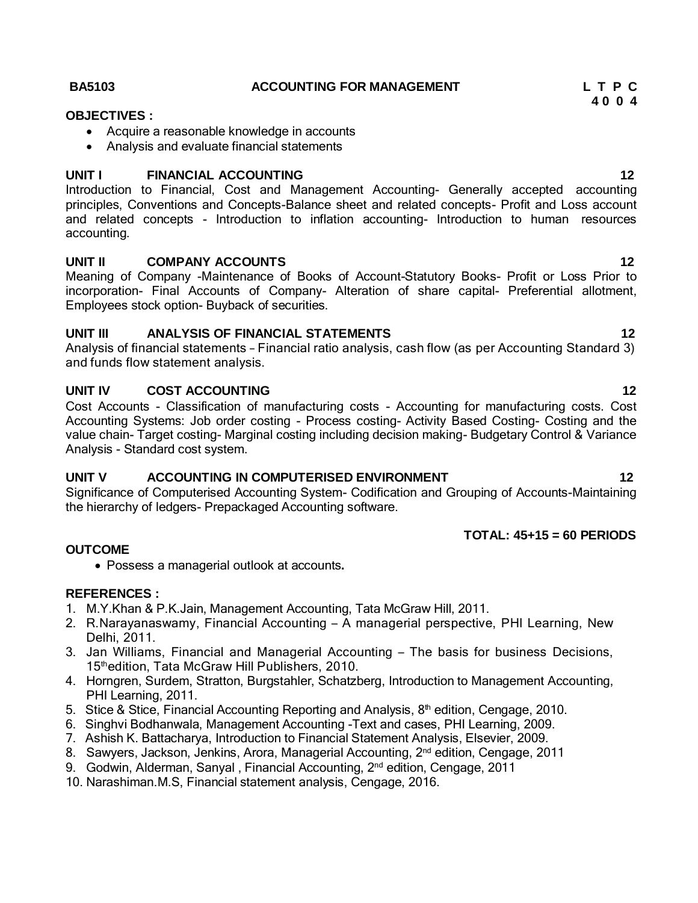**4 0 0 4**

- 
- 
- 
- 

### **TOTAL: 45+15 = 60 PERIODS**

### **OUTCOME**

Possess a managerial outlook at accounts**.**

### **REFERENCES :**

- 1. M.Y.Khan & P.K.Jain, Management Accounting, Tata McGraw Hill, 2011.
- 2. R.Narayanaswamy, Financial Accounting <sup>A</sup> managerial perspective, PHI Learning, New Delhi, 2011.
- 3. Jan Williams, Financial and Managerial Accounting The basis for business Decisions, 15thedition, Tata McGraw Hill Publishers, 2010.
- 4. Horngren, Surdem, Stratton, Burgstahler, Schatzberg, Introduction to Management Accounting, PHI Learning, 2011.
- 5. Stice & Stice, Financial Accounting Reporting and Analysis,  $8<sup>th</sup>$  edition, Cengage, 2010.
- 6. Singhvi Bodhanwala, Management Accounting -Text and cases, PHI Learning, 2009.
- 7. Ashish K. Battacharya, Introduction to Financial Statement Analysis, Elsevier, 2009.
- 8. Sawyers, Jackson, Jenkins, Arora, Managerial Accounting, 2<sup>nd</sup> edition, Cengage, 2011
- 9. Godwin, Alderman, Sanyal, Financial Accounting, 2<sup>nd</sup> edition, Cengage, 2011
- 10. Narashiman.M.S, Financial statement analysis, Cengage, 2016.

### **BA5103 ACCOUNTING FOR MANAGEMENT L T P C**

## **OBJECTIVES :**

- 
- 

# **UNIT I FINANCIAL ACCOUNTING 12**

Introduction to Financial, Cost and Management Accounting- Generally accepted accounting principles, Conventions and Concepts-Balance sheet and related concepts- Profit and Loss account and related concepts - Introduction to inflation accounting- Introduction to human resources accounting.

# **UNIT II COMPANY ACCOUNTS 12**

Meaning of Company -Maintenance of Books of Account-Statutory Books- Profit or Loss Prior to incorporation- Final Accounts of Company- Alteration of share capital- Preferential allotment, Employees stock option- Buyback of securities.

# **UNIT III ANALYSIS OF FINANCIAL STATEMENTS 12**

Analysis of financial statements – Financial ratio analysis, cash flow (as per Accounting Standard 3) and funds flow statement analysis.

# **UNIT IV COST ACCOUNTING 12**

Cost Accounts - Classification of manufacturing costs - Accounting for manufacturing costs. Cost Accounting Systems: Job order costing - Process costing- Activity Based Costing- Costing and the value chain- Target costing- Marginal costing including decision making- Budgetary Control & Variance Analysis - Standard cost system.

# **UNIT V ACCOUNTING IN COMPUTERISED ENVIRONMENT 12**

Significance of Computerised Accounting System- Codification and Grouping of Accounts-Maintaining the hierarchy of ledgers- Prepackaged Accounting software.

- Acquire a reasonable knowledge in accounts
- Analysis and evaluate financial statements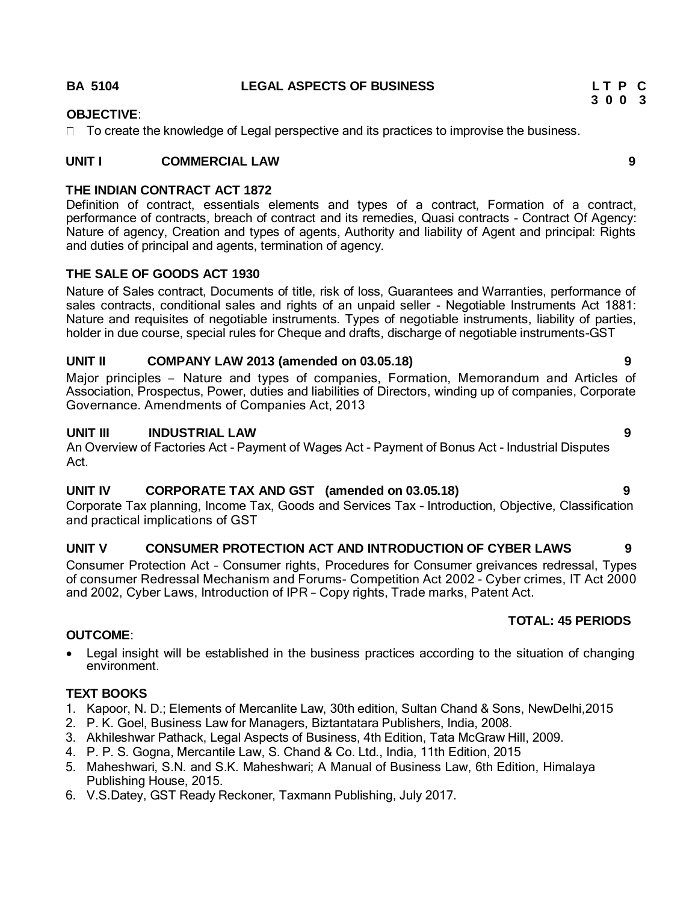#### **OBJECTIVE**:

 $\Box$  To create the knowledge of Legal perspective and its practices to improvise the business.

#### **UNIT I COMMERCIAL LAW 9**

#### **THE INDIAN CONTRACT ACT 1872**

Definition of contract, essentials elements and types of a contract, Formation of a contract, performance of contracts, breach of contract and its remedies, Quasi contracts - Contract Of Agency: Nature of agency, Creation and types of agents, Authority and liability of Agent and principal: Rights and duties of principal and agents, termination of agency.

#### **THE SALE OF GOODS ACT 1930**

Nature of Sales contract, Documents of title, risk of loss, Guarantees and Warranties, performance of sales contracts, conditional sales and rights of an unpaid seller - Negotiable Instruments Act 1881: Nature and requisites of negotiable instruments. Types of negotiable instruments, liability of parties, holder in due course, special rules for Cheque and drafts, discharge of negotiable instruments-GST

### **UNIT II COMPANY LAW 2013 (amended on 03.05.18) 9**

Major principles – Nature and types of companies, Formation, Memorandum and Articles of Association, Prospectus, Power, duties and liabilities of Directors, winding up of companies, Corporate Governance. Amendments of Companies Act, 2013

#### **UNIT III INDUSTRIAL LAW 9**

An Overview of Factories Act - Payment of Wages Act - Payment of Bonus Act - Industrial Disputes Act.

#### **UNIT IV CORPORATE TAX AND GST (amended on 03.05.18) 9**

Corporate Tax planning, Income Tax, Goods and Services Tax – Introduction, Objective, Classification and practical implications of GST

#### **UNIT V CONSUMER PROTECTION ACT AND INTRODUCTION OF CYBER LAWS 9**

Consumer Protection Act – Consumer rights, Procedures for Consumer greivances redressal, Types of consumer Redressal Mechanism and Forums- Competition Act 2002 - Cyber crimes, IT Act 2000 and 2002, Cyber Laws, Introduction of IPR – Copy rights, Trade marks, Patent Act.

#### **TOTAL: 45 PERIODS**

#### **OUTCOME**:

 Legal insight will be established in the business practices according to the situation of changing environment.

#### **TEXT BOOKS**

- 1. Kapoor, N. D.; Elements of Mercanlite Law, 30th edition, Sultan Chand & Sons, NewDelhi,2015
- 2. P. K. Goel, Business Law for Managers, Biztantatara Publishers, India, 2008.
- 3. Akhileshwar Pathack, Legal Aspects of Business, 4th Edition, Tata McGraw Hill, 2009.
- 4. P. P. S. Gogna, Mercantile Law, S. Chand & Co. Ltd., India, 11th Edition, 2015
- 5. Maheshwari, S.N. and S.K. Maheshwari; A Manual of Business Law, 6th Edition, Himalaya Publishing House, 2015.
- 6. V.S.Datey, GST Ready Reckoner, Taxmann Publishing, July 2017.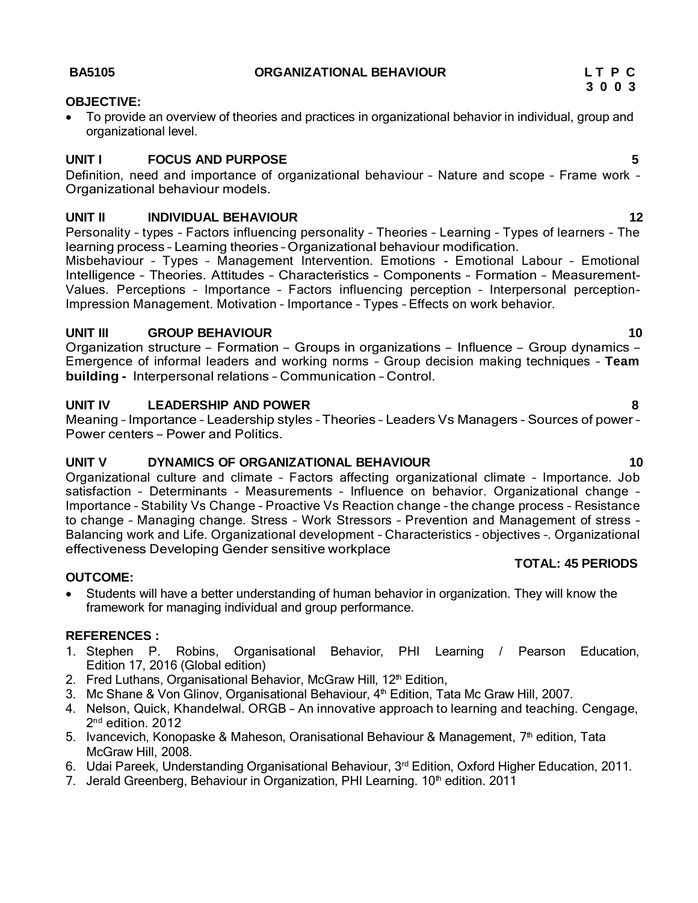### **OBJECTIVE:**

 To provide an overview of theories and practices in organizational behavior in individual, group and organizational level.

### **UNIT I FOCUS AND PURPOSE 5**

Definition, need and importance of organizational behaviour – Nature and scope – Frame work – Organizational behaviour models.

### **UNIT II INDIVIDUAL BEHAVIOUR 12**

Personality – types – Factors influencing personality – Theories – Learning – Types of learners – The learning process – Learning theories – Organizational behaviour modification.

Misbehaviour – Types – Management Intervention. Emotions - Emotional Labour – Emotional Intelligence – Theories. Attitudes – Characteristics – Components – Formation – Measurement-Values. Perceptions – Importance – Factors influencing perception – Interpersonal perception-Impression Management. Motivation – Importance – Types – Effects on work behavior.

### **UNIT III GROUP BEHAVIOUR 10**

Organization structure – Formation – Groups in organizations – Influence – Group dynamics – Emergence of informal leaders and working norms – Group decision making techniques – **Team building -** Interpersonal relations – Communication – Control.

### **UNIT IV LEADERSHIP AND POWER 8**

Meaning – Importance – Leadership styles – Theories – Leaders Vs Managers – Sources of power – Power centers – Power and Politics.

### **UNIT V DYNAMICS OF ORGANIZATIONAL BEHAVIOUR 10**

Organizational culture and climate – Factors affecting organizational climate – Importance. Job satisfaction – Determinants – Measurements – Influence on behavior. Organizational change – Importance – Stability Vs Change – Proactive Vs Reaction change – the change process – Resistance to change – Managing change. Stress – Work Stressors – Prevention and Management of stress – Balancing work and Life. Organizational development – Characteristics – objectives –. Organizational effectiveness Developing Gender sensitive workplace **TOTAL: 45 PERIODS**

#### **OUTCOME:**

 Students will have a better understanding of human behavior in organization. They will know the framework for managing individual and group performance.

#### **REFERENCES :**

- 1. Stephen P. Robins, Organisational Behavior, PHI Learning / Pearson Education, Edition 17, 2016 (Global edition)
- 2. Fred Luthans, Organisational Behavior, McGraw Hill, 12<sup>th</sup> Edition,
- 3. Mc Shane & Von Glinov, Organisational Behaviour, 4<sup>th</sup> Edition, Tata Mc Graw Hill, 2007.
- 4. Nelson, Quick, Khandelwal. ORGB An innovative approach to learning and teaching. Cengage, 2<sup>nd</sup> edition. 2012
- 5. Ivancevich, Konopaske & Maheson, Oranisational Behaviour & Management, 7<sup>th</sup> edition, Tata McGraw Hill, 2008.
- 6. Udai Pareek, Understanding Organisational Behaviour, 3rd Edition, Oxford Higher Education, 2011.
- 7. Jerald Greenberg, Behaviour in Organization, PHI Learning.  $10<sup>th</sup>$  edition. 2011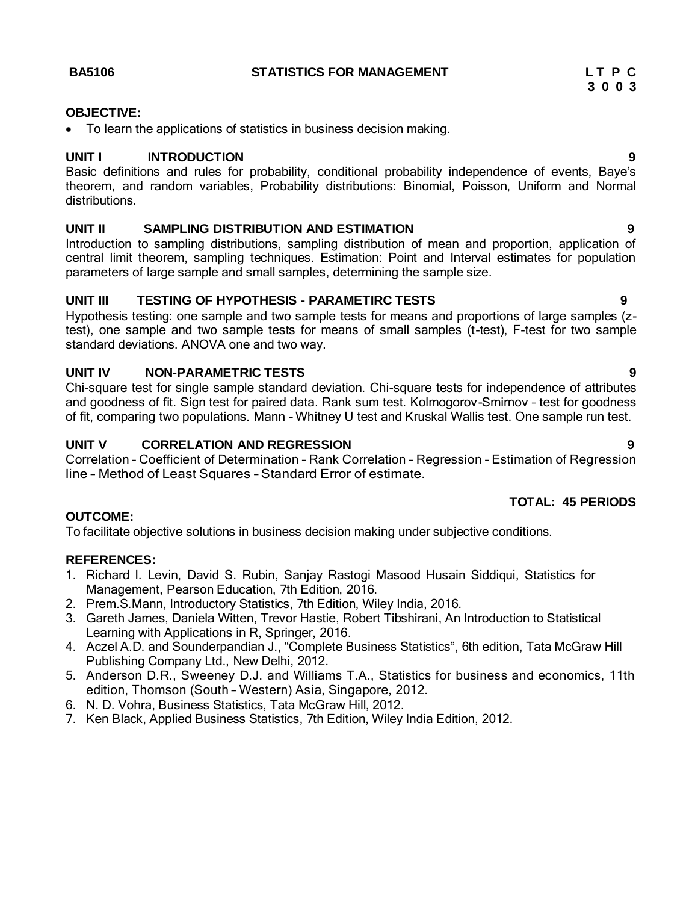#### **BA5106 STATISTICS FOR MANAGEMENT L T P C**

#### **OBJECTIVE:**

To learn the applications of statistics in business decision making.

#### **UNIT I INTRODUCTION 9**

Basic definitions and rules for probability, conditional probability independence of events, Baye's theorem, and random variables, Probability distributions: Binomial, Poisson, Uniform and Normal distributions.

#### **UNIT II SAMPLING DISTRIBUTION AND ESTIMATION 9**

Introduction to sampling distributions, sampling distribution of mean and proportion, application of central limit theorem, sampling techniques. Estimation: Point and Interval estimates for population parameters of large sample and small samples, determining the sample size.

#### **UNIT III TESTING OF HYPOTHESIS - PARAMETIRC TESTS 9**

Hypothesis testing: one sample and two sample tests for means and proportions of large samples (ztest), one sample and two sample tests for means of small samples (t-test), F-test for two sample standard deviations. ANOVA one and two way.

#### **UNIT IV NON-PARAMETRIC TESTS 9**

Chi-square test for single sample standard deviation. Chi-square tests for independence of attributes and goodness of fit. Sign test for paired data. Rank sum test. Kolmogorov-Smirnov – test for goodness of fit, comparing two populations. Mann – Whitney U test and Kruskal Wallis test. One sample run test.

#### **UNIT V CORRELATION AND REGRESSION 9**

Correlation – Coefficient of Determination – Rank Correlation – Regression – Estimation of Regression line – Method of Least Squares – Standard Error of estimate.

### **TOTAL: 45 PERIODS**

#### **OUTCOME:**

To facilitate objective solutions in business decision making under subjective conditions.

#### **REFERENCES:**

- 1. Richard I. Levin, David S. Rubin, Sanjay Rastogi Masood Husain Siddiqui, Statistics for Management, Pearson Education, 7th Edition, 2016.
- 2. Prem.S.Mann, Introductory Statistics, 7th Edition, Wiley India, 2016.
- 3. Gareth James, Daniela Witten, Trevor Hastie, Robert Tibshirani, An Introduction to Statistical Learning with Applications in R, Springer, 2016.
- 4. Aczel A.D. and Sounderpandian J., "Complete Business Statistics", 6th edition, Tata McGraw Hill Publishing Company Ltd., New Delhi, 2012.
- 5. Anderson D.R., Sweeney D.J. and Williams T.A., Statistics for business and economics, 11th edition, Thomson (South – Western) Asia, Singapore, 2012.
- 6. N. D. Vohra, Business Statistics, Tata McGraw Hill, 2012.
- 7. Ken Black, Applied Business Statistics, 7th Edition, Wiley India Edition, 2012.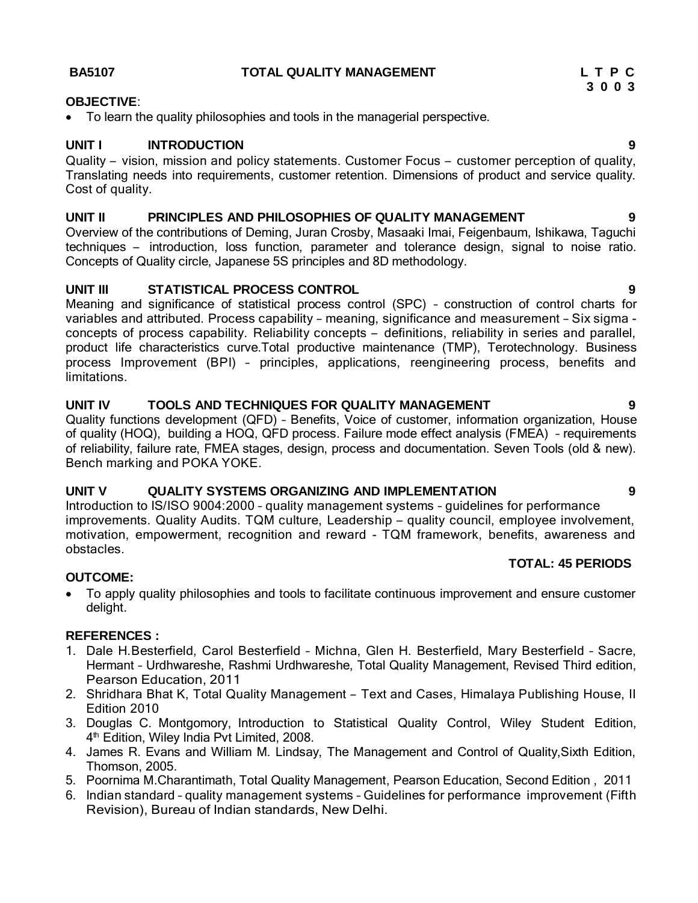#### **BA5107 TOTAL QUALITY MANAGEMENT L T P C**

#### **OBJECTIVE**:

To learn the quality philosophies and tools in the managerial perspective.

#### **UNIT I INTRODUCTION 9**

Quality – vision, mission and policy statements. Customer Focus – customer perception of quality, Translating needs into requirements, customer retention. Dimensions of product and service quality. Cost of quality.

#### **UNIT II PRINCIPLES AND PHILOSOPHIES OF QUALITY MANAGEMENT 9**

Overview of the contributions of Deming, Juran Crosby, Masaaki Imai, Feigenbaum, Ishikawa, Taguchi techniques – introduction, loss function, parameter and tolerance design, signal to noise ratio. Concepts of Quality circle, Japanese 5S principles and 8D methodology.

#### **UNIT III STATISTICAL PROCESS CONTROL 9**

Meaning and significance of statistical process control (SPC) – construction of control charts for variables and attributed. Process capability – meaning, significance and measurement – Six sigma concepts of process capability. Reliability concepts – definitions, reliability in series and parallel, product life characteristics curve.Total productive maintenance (TMP), Terotechnology. Business process Improvement (BPI) – principles, applications, reengineering process, benefits and limitations.

#### **UNIT IV TOOLS AND TECHNIQUES FOR QUALITY MANAGEMENT 9**

Quality functions development (QFD) – Benefits, Voice of customer, information organization, House of quality (HOQ), building a HOQ, QFD process. Failure mode effect analysis (FMEA) – requirements of reliability, failure rate, FMEA stages, design, process and documentation. Seven Tools (old & new). Bench marking and POKA YOKE.

#### **UNIT V QUALITY SYSTEMS ORGANIZING AND IMPLEMENTATION 9**

Introduction to IS/ISO 9004:2000 – quality management systems – guidelines for performance improvements. Quality Audits. TQM culture, Leadership – quality council, employee involvement, motivation, empowerment, recognition and reward - TQM framework, benefits, awareness and obstacles.

#### **OUTCOME:**

 To apply quality philosophies and tools to facilitate continuous improvement and ensure customer delight.

#### **REFERENCES :**

- 1. Dale H.Besterfield, Carol Besterfield Michna, Glen H. Besterfield, Mary Besterfield Sacre, Hermant – Urdhwareshe, Rashmi Urdhwareshe, Total Quality Management, Revised Third edition, Pearson Education, 2011
- 2. Shridhara Bhat K, Total Quality Management Text and Cases, Himalaya Publishing House, II Edition 2010
- 3. Douglas C. Montgomory, Introduction to Statistical Quality Control, Wiley Student Edition, 4<sup>th</sup> Edition, Wiley India Pvt Limited, 2008.
- 4. James R. Evans and William M. Lindsay, The Management and Control of Quality,Sixth Edition, Thomson, 2005.
- 5. Poornima M.Charantimath, Total Quality Management, Pearson Education, Second Edition , 2011
- 6. Indian standard quality management systems Guidelines for performance improvement (Fifth Revision), Bureau of Indian standards, New Delhi.

**TOTAL: 45 PERIODS**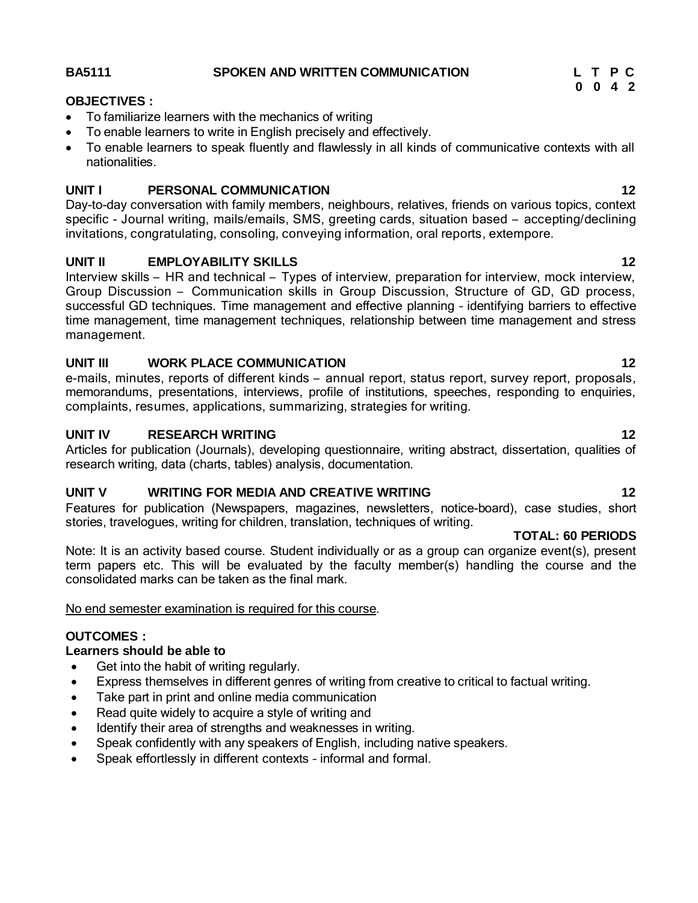#### **BA5111 SPOKEN AND WRITTEN COMMUNICATION L T P C**

#### **OBJECTIVES :**

- To familiarize learners with the mechanics of writing
- To enable learners to write in English precisely and effectively.
- To enable learners to speak fluently and flawlessly in all kinds of communicative contexts with all nationalities.

#### **UNIT I PERSONAL COMMUNICATION 12**

Day-to-day conversation with family members, neighbours, relatives, friends on various topics, context specific - Journal writing, mails/emails, SMS, greeting cards, situation based – accepting/declining invitations, congratulating, consoling, conveying information, oral reports, extempore.

### **UNIT II EMPLOYABILITY SKILLS 12**

Interview skills – HR and technical – Types of interview, preparation for interview, mock interview, Group Discussion – Communication skills in Group Discussion, Structure of GD, GD process, successful GD techniques. Time management and effective planning – identifying barriers to effective time management, time management techniques, relationship between time management and stress management.

#### **UNIT III WORK PLACE COMMUNICATION 12**

e-mails, minutes, reports of different kinds – annual report, status report, survey report, proposals, memorandums, presentations, interviews, profile of institutions, speeches, responding to enquiries, complaints, resumes, applications, summarizing, strategies for writing.

#### **UNIT IV RESEARCH WRITING 12**

Articles for publication (Journals), developing questionnaire, writing abstract, dissertation, qualities of research writing, data (charts, tables) analysis, documentation.

### **UNIT V WRITING FOR MEDIA AND CREATIVE WRITING 12**

Features for publication (Newspapers, magazines, newsletters, notice-board), case studies, short stories, travelogues, writing for children, translation, techniques of writing.

#### **TOTAL: 60 PERIODS**

Note: It is an activity based course. Student individually or as a group can organize event(s), present term papers etc. This will be evaluated by the faculty member(s) handling the course and the consolidated marks can be taken as the final mark.

#### No end semester examination is required for this course.

#### **OUTCOMES :**

#### **Learners should be able to**

- Get into the habit of writing regularly.
- Express themselves in different genres of writing from creative to critical to factual writing.
- Take part in print and online media communication
- Read quite widely to acquire a style of writing and
- Identify their area of strengths and weaknesses in writing.
- Speak confidently with any speakers of English, including native speakers.
- Speak effortlessly in different contexts informal and formal.

**0 0 4 2**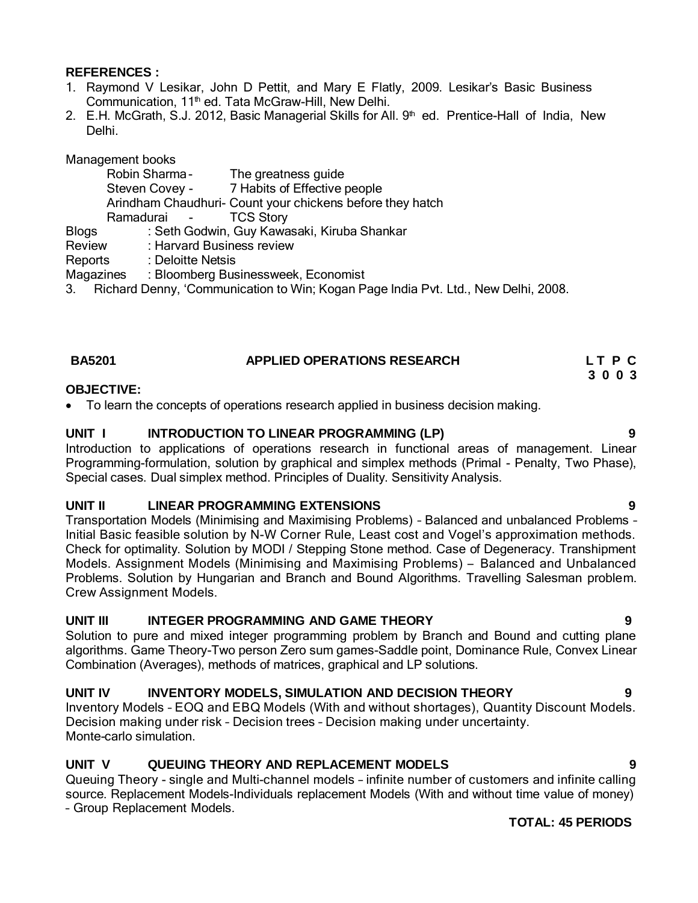#### **REFERENCES :**

- 1. Raymond V Lesikar, John D Pettit, and Mary E Flatly, 2009. Lesikar's Basic Business Communication, 11<sup>th</sup> ed. Tata McGraw-Hill, New Delhi.
- 2. E.H. McGrath, S.J. 2012, Basic Managerial Skills for All. 9<sup>th</sup> ed. Prentice-Hall of India, New Delhi.

Management books

|                                                                                       | Robin Sharma-     | The greatness guide                                       |  |  |
|---------------------------------------------------------------------------------------|-------------------|-----------------------------------------------------------|--|--|
|                                                                                       |                   | Steven Covey - 7 Habits of Effective people               |  |  |
|                                                                                       |                   | Arindham Chaudhuri- Count your chickens before they hatch |  |  |
|                                                                                       | Ramadurai -       | <b>TCS Story</b>                                          |  |  |
| <b>Blogs</b>                                                                          |                   | : Seth Godwin, Guy Kawasaki, Kiruba Shankar               |  |  |
| Review                                                                                |                   | : Harvard Business review                                 |  |  |
| Reports                                                                               | : Deloitte Netsis |                                                           |  |  |
| Magazines                                                                             |                   | : Bloomberg Businessweek, Economist                       |  |  |
| 3. Richard Denny, 'Communication to Win; Kogan Page India Pvt. Ltd., New Delhi, 2008. |                   |                                                           |  |  |

#### **BA5201 APPLIED OPERATIONS RESEARCH L T P C 3 0 0 3**

#### **OBJECTIVE:**

To learn the concepts of operations research applied in business decision making.

#### **UNIT I INTRODUCTION TO LINEAR PROGRAMMING (LP) 9**

Introduction to applications of operations research in functional areas of management. Linear Programming-formulation, solution by graphical and simplex methods (Primal - Penalty, Two Phase), Special cases. Dual simplex method. Principles of Duality. Sensitivity Analysis.

#### **UNIT II LINEAR PROGRAMMING EXTENSIONS 9**

Transportation Models (Minimising and Maximising Problems) – Balanced and unbalanced Problems – Initial Basic feasible solution by N-W Corner Rule, Least cost and Vogel's approximation methods. Check for optimality. Solution by MODI / Stepping Stone method. Case of Degeneracy. Transhipment Models. Assignment Models (Minimising and Maximising Problems) – Balanced and Unbalanced Problems. Solution by Hungarian and Branch and Bound Algorithms. Travelling Salesman problem. Crew Assignment Models.

#### **UNIT III INTEGER PROGRAMMING AND GAME THEORY 9**

Solution to pure and mixed integer programming problem by Branch and Bound and cutting plane algorithms. Game Theory-Two person Zero sum games-Saddle point, Dominance Rule, Convex Linear Combination (Averages), methods of matrices, graphical and LP solutions.

#### **UNIT IV INVENTORY MODELS, SIMULATION AND DECISION THEORY 9**

Inventory Models – EOQ and EBQ Models (With and without shortages), Quantity Discount Models. Decision making under risk – Decision trees – Decision making under uncertainty. Monte-carlo simulation.

#### **UNIT V QUEUING THEORY AND REPLACEMENT MODELS 9**

Queuing Theory - single and Multi-channel models – infinite number of customers and infinite calling source. Replacement Models-Individuals replacement Models (With and without time value of money) – Group Replacement Models.

#### **TOTAL: 45 PERIODS**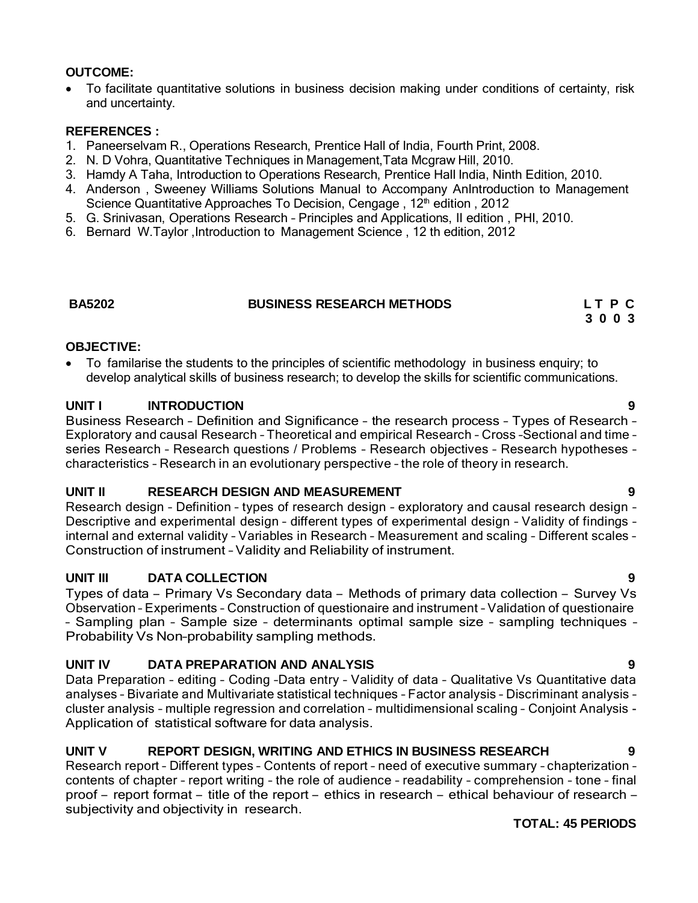### **OUTCOME:**

 To facilitate quantitative solutions in business decision making under conditions of certainty, risk and uncertainty.

#### **REFERENCES :**

- 1. Paneerselvam R., Operations Research, Prentice Hall of India, Fourth Print, 2008.
- 2. N. D Vohra, Quantitative Techniques in Management,Tata Mcgraw Hill, 2010.
- 3. Hamdy A Taha, Introduction to Operations Research, Prentice Hall India, Ninth Edition, 2010.
- 4. Anderson , Sweeney Williams Solutions Manual to Accompany AnIntroduction to Management Science Quantitative Approaches To Decision, Cengage, 12<sup>th</sup> edition, 2012
- 5. G. Srinivasan, Operations Research Principles and Applications, II edition , PHI, 2010.
- 6. Bernard W.Taylor ,Introduction to Management Science , 12 th edition, 2012

#### **BA5202 BUSINESS RESEARCH METHODS L T P C**

**3 0 0 3**

### **OBJECTIVE:**

 To familarise the students to the principles of scientific methodology in business enquiry; to develop analytical skills of business research; to develop the skills for scientific communications.

#### **UNIT I INTRODUCTION 9**

Business Research – Definition and Significance – the research process – Types of Research – Exploratory and causal Research – Theoretical and empirical Research – Cross –Sectional and time – series Research – Research questions / Problems – Research objectives – Research hypotheses – characteristics – Research in an evolutionary perspective – the role of theory in research.

#### **UNIT II RESEARCH DESIGN AND MEASUREMENT 9**

Research design – Definition – types of research design – exploratory and causal research design – Descriptive and experimental design – different types of experimental design – Validity of findings – internal and external validity – Variables in Research – Measurement and scaling – Different scales – Construction of instrument – Validity and Reliability of instrument.

#### **UNIT III DATA COLLECTION 9**

Types of data – Primary Vs Secondary data – Methods of primary data collection – Survey Vs Observation – Experiments – Construction of questionaire and instrument – Validation of questionaire – Sampling plan – Sample size – determinants optimal sample size – sampling techniques – Probability Vs Non–probability sampling methods.

#### **UNIT IV DATA PREPARATION AND ANALYSIS 9**

Data Preparation - editing - Coding -Data entry - Validity of data - Qualitative Vs Quantitative data analyses – Bivariate and Multivariate statistical techniques – Factor analysis – Discriminant analysis – cluster analysis – multiple regression and correlation – multidimensional scaling – Conjoint Analysis - Application of statistical software for data analysis.

#### **UNIT V REPORT DESIGN, WRITING AND ETHICS IN BUSINESS RESEARCH 9**

Research report – Different types – Contents of report – need of executive summary – chapterization – contents of chapter – report writing – the role of audience – readability – comprehension – tone – final proof – report format – title of the report – ethics in research – ethical behaviour of research – subjectivity and objectivity in research.

#### **TOTAL: 45 PERIODS**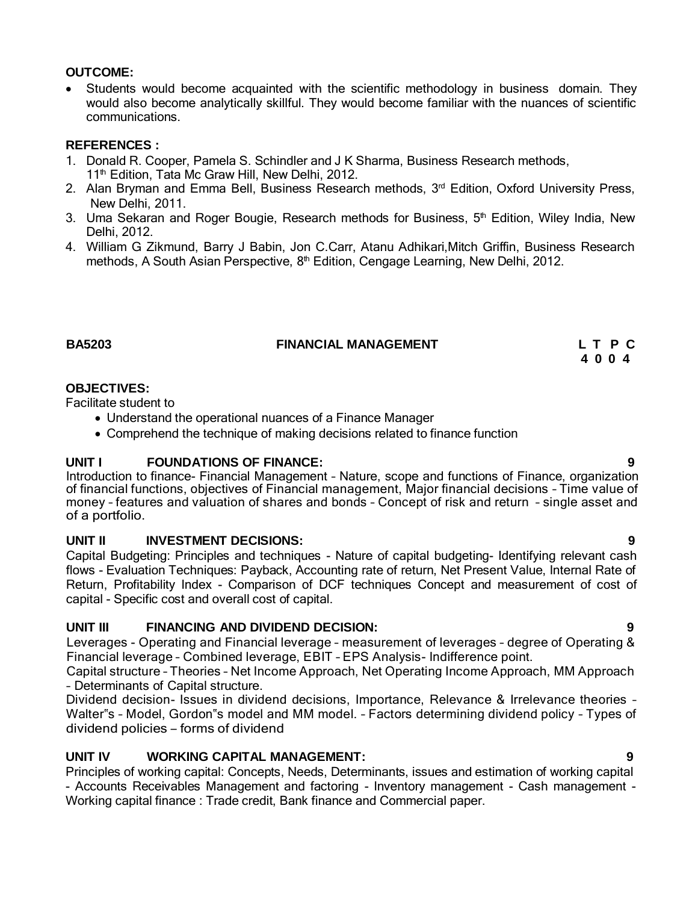### **OUTCOME:**

• Students would become acquainted with the scientific methodology in business domain. They would also become analytically skillful. They would become familiar with the nuances of scientific communications.

### **REFERENCES :**

- 1. Donald R. Cooper, Pamela S. Schindler and J K Sharma, Business Research methods, 11<sup>th</sup> Edition, Tata Mc Graw Hill, New Delhi, 2012.
- 2. Alan Bryman and Emma Bell, Business Research methods, 3<sup>rd</sup> Edition, Oxford University Press, New Delhi, 2011.
- 3. Uma Sekaran and Roger Bougie, Research methods for Business, 5<sup>th</sup> Edition, Wiley India, New Delhi, 2012.
- 4. William G Zikmund, Barry J Babin, Jon C.Carr, Atanu Adhikari,Mitch Griffin, Business Research methods, A South Asian Perspective, 8<sup>th</sup> Edition, Cengage Learning, New Delhi, 2012.

#### **BA5203 FINANCIAL MANAGEMENT L T P C**

**4 0 0 4**

### **OBJECTIVES:**

Facilitate student to

- Understand the operational nuances of a Finance Manager
- Comprehend the technique of making decisions related to finance function

#### **UNIT I FOUNDATIONS OF FINANCE: 9**

Introduction to finance- Financial Management – Nature, scope and functions of Finance, organization of financial functions, objectives of Financial management, Major financial decisions – Time value of money – features and valuation of shares and bonds – Concept of risk and return – single asset and of a portfolio.

### **UNIT II INVESTMENT DECISIONS: 9**

Capital Budgeting: Principles and techniques - Nature of capital budgeting- Identifying relevant cash flows - Evaluation Techniques: Payback, Accounting rate of return, Net Present Value, Internal Rate of Return, Profitability Index - Comparison of DCF techniques Concept and measurement of cost of capital - Specific cost and overall cost of capital.

### **UNIT III FINANCING AND DIVIDEND DECISION: 9**

Leverages - Operating and Financial leverage – measurement of leverages – degree of Operating & Financial leverage – Combined leverage, EBIT – EPS Analysis- Indifference point.

Capital structure – Theories – Net Income Approach, Net Operating Income Approach, MM Approach – Determinants of Capital structure.

Dividend decision- Issues in dividend decisions, Importance, Relevance & Irrelevance theories – Walter"s – Model, Gordon"s model and MM model. – Factors determining dividend policy – Types of dividend policies – forms of dividend

### **UNIT IV WORKING CAPITAL MANAGEMENT: 9**

Principles of working capital: Concepts, Needs, Determinants, issues and estimation of working capital - Accounts Receivables Management and factoring - Inventory management - Cash management - Working capital finance : Trade credit, Bank finance and Commercial paper.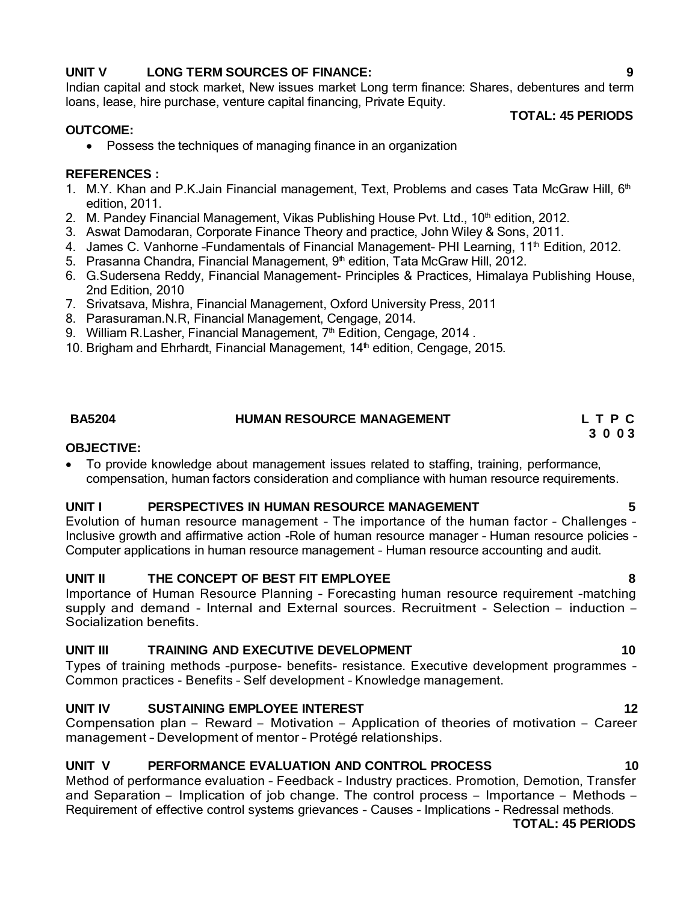### **UNIT V LONG TERM SOURCES OF FINANCE: 9**

Indian capital and stock market, New issues market Long term finance: Shares, debentures and term loans, lease, hire purchase, venture capital financing, Private Equity.

#### **OUTCOME:**

Possess the techniques of managing finance in an organization

#### **REFERENCES :**

- 1. M.Y. Khan and P.K.Jain Financial management, Text, Problems and cases Tata McGraw Hill, 6<sup>th</sup> edition, 2011.
- 2. M. Pandey Financial Management, Vikas Publishing House Pvt. Ltd.,  $10<sup>th</sup>$  edition, 2012.
- 3. Aswat Damodaran, Corporate Finance Theory and practice, John Wiley & Sons, 2011.
- 4. James C. Vanhorne -Fundamentals of Financial Management- PHI Learning, 11<sup>th</sup> Edition, 2012.
- 5. Prasanna Chandra, Financial Management, 9<sup>th</sup> edition, Tata McGraw Hill, 2012.
- 6. G.Sudersena Reddy, Financial Management- Principles & Practices, Himalaya Publishing House, 2nd Edition, 2010
- 7. Srivatsava, Mishra, Financial Management, Oxford University Press, 2011
- 8. Parasuraman.N.R, Financial Management, Cengage, 2014.
- 9. William R.Lasher, Financial Management, 7<sup>th</sup> Edition, Cengage, 2014.
- 10. Brigham and Ehrhardt, Financial Management,  $14<sup>th</sup>$  edition, Cengage, 2015.

# **BA5204 HUMAN RESOURCE MANAGEMENT L T P C**

#### **OBJECTIVE:**

 To provide knowledge about management issues related to staffing, training, performance, compensation, human factors consideration and compliance with human resource requirements.

#### **UNIT I PERSPECTIVES IN HUMAN RESOURCE MANAGEMENT 5**

Evolution of human resource management – The importance of the human factor – Challenges – Inclusive growth and affirmative action -Role of human resource manager – Human resource policies – Computer applications in human resource management – Human resource accounting and audit.

#### **UNIT II THE CONCEPT OF BEST FIT EMPLOYEE 8**

Importance of Human Resource Planning – Forecasting human resource requirement –matching supply and demand - Internal and External sources. Recruitment - Selection – induction – Socialization benefits.

#### **UNIT III TRAINING AND EXECUTIVE DEVELOPMENT 10**

Types of training methods –purpose- benefits- resistance. Executive development programmes – Common practices - Benefits – Self development – Knowledge management.

### **UNIT IV SUSTAINING EMPLOYEE INTEREST 12**

Compensation plan – Reward – Motivation – Application of theories of motivation – Career management – Development of mentor – Protégé relationships.

#### **UNIT V PERFORMANCE EVALUATION AND CONTROL PROCESS 10**

Method of performance evaluation – Feedback – Industry practices. Promotion, Demotion, Transfer and Separation – Implication of job change. The control process – Importance – Methods – Requirement of effective control systems grievances – Causes – Implications – Redressal methods.

**TOTAL: 45 PERIODS**

**TOTAL: 45 PERIODS**

**3 0 0 3**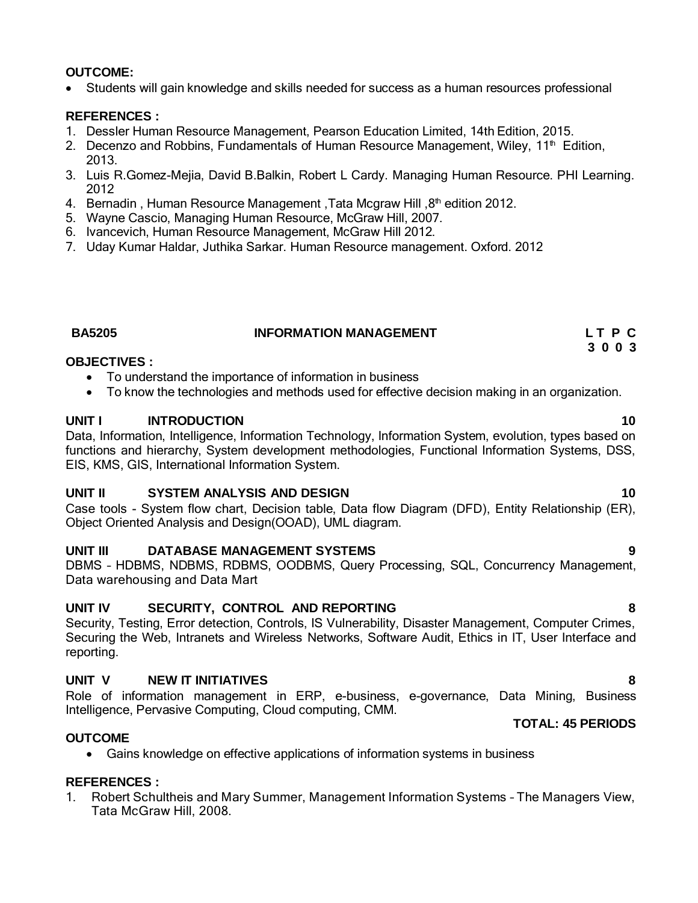### **OUTCOME:**

Students will gain knowledge and skills needed for success as a human resources professional

### **REFERENCES :**

- 1. Dessler Human Resource Management, Pearson Education Limited, 14th Edition, 2015.
- 2. Decenzo and Robbins, Fundamentals of Human Resource Management, Wiley, 11<sup>th</sup> Edition, 2013.
- 3. Luis R.Gomez-Mejia, David B.Balkin, Robert L Cardy. Managing Human Resource. PHI Learning. 2012
- 4. Bernadin, Human Resource Management, Tata Mcgraw Hill, 8<sup>th</sup> edition 2012.
- 5. Wayne Cascio, Managing Human Resource, McGraw Hill, 2007.
- 6. Ivancevich, Human Resource Management, McGraw Hill 2012.
- 7. Uday Kumar Haldar, Juthika Sarkar. Human Resource management. Oxford. 2012

# **BA5205 INFORMATION MANAGEMENT L T P C**

### **3 0 0 3**

### **OBJECTIVES :**

- To understand the importance of information in business
- To know the technologies and methods used for effective decision making in an organization.

### **UNIT I INTRODUCTION 10**

Data, Information, Intelligence, Information Technology, Information System, evolution, types based on functions and hierarchy, System development methodologies, Functional Information Systems, DSS, EIS, KMS, GIS, International Information System.

#### **UNIT II SYSTEM ANALYSIS AND DESIGN 10**

Case tools - System flow chart, Decision table, Data flow Diagram (DFD), Entity Relationship (ER), Object Oriented Analysis and Design(OOAD), UML diagram.

### **UNIT III DATABASE MANAGEMENT SYSTEMS 9**

DBMS – HDBMS, NDBMS, RDBMS, OODBMS, Query Processing, SQL, Concurrency Management, Data warehousing and Data Mart

### **UNIT IV SECURITY, CONTROL AND REPORTING 8**

Security, Testing, Error detection, Controls, IS Vulnerability, Disaster Management, Computer Crimes, Securing the Web, Intranets and Wireless Networks, Software Audit, Ethics in IT, User Interface and reporting.

### **UNIT V NEW IT INITIATIVES 8**

Role of information management in ERP, e-business, e-governance, Data Mining, Business Intelligence, Pervasive Computing, Cloud computing, CMM. **TOTAL: 45 PERIODS**

### **OUTCOME**

Gains knowledge on effective applications of information systems in business

# **REFERENCES :**

1. Robert Schultheis and Mary Summer, Management Information Systems – The Managers View, Tata McGraw Hill, 2008.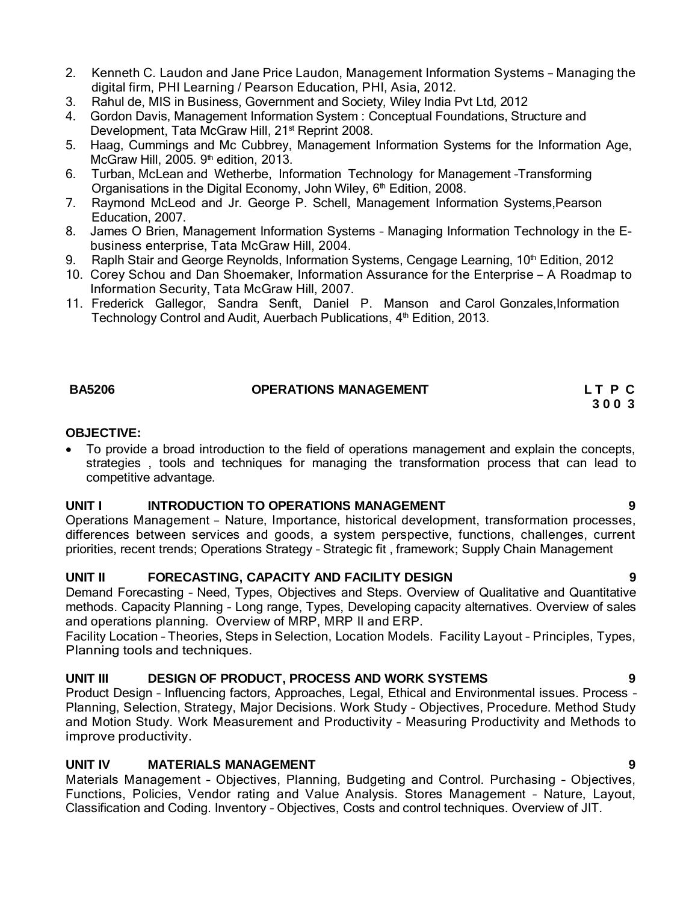- 2. Kenneth C. Laudon and Jane Price Laudon, Management Information Systems Managing the digital firm, PHI Learning / Pearson Education, PHI, Asia, 2012.
- 3. Rahul de, MIS in Business, Government and Society, Wiley India Pvt Ltd, 2012
- 4. Gordon Davis, Management Information System : Conceptual Foundations, Structure and Development, Tata McGraw Hill, 21<sup>st</sup> Reprint 2008.
- 5. Haag, Cummings and Mc Cubbrey, Management Information Systems for the Information Age, McGraw Hill, 2005. 9<sup>th</sup> edition, 2013.
- 6. Turban, McLean and Wetherbe, Information Technology for Management –Transforming Organisations in the Digital Economy, John Wiley, 6<sup>th</sup> Edition, 2008.
- 7. Raymond McLeod and Jr. George P. Schell, Management Information Systems,Pearson Education, 2007.
- 8. James O Brien, Management Information Systems Managing Information Technology in the Ebusiness enterprise, Tata McGraw Hill, 2004.
- 9. Raplh Stair and George Reynolds, Information Systems, Cengage Learning,  $10<sup>th</sup>$  Edition, 2012
- 10. Corey Schou and Dan Shoemaker, Information Assurance for the Enterprise <sup>A</sup> Roadmap to Information Security, Tata McGraw Hill, 2007.
- 11. Frederick Gallegor, Sandra Senft, Daniel P. Manson and Carol Gonzales,Information Technology Control and Audit, Auerbach Publications, 4<sup>th</sup> Edition, 2013.

### **BA5206 OPERATIONS MANAGEMENT L T P C**

**3 0 0 3**

#### **OBJECTIVE:**

 To provide a broad introduction to the field of operations management and explain the concepts, strategies , tools and techniques for managing the transformation process that can lead to competitive advantage.

#### **UNIT I INTRODUCTION TO OPERATIONS MANAGEMENT 9**

Operations Management – Nature, Importance, historical development, transformation processes, differences between services and goods, a system perspective, functions, challenges, current priorities, recent trends; Operations Strategy – Strategic fit , framework; Supply Chain Management

#### **UNIT II FORECASTING, CAPACITY AND FACILITY DESIGN 9**

Demand Forecasting – Need, Types, Objectives and Steps. Overview of Qualitative and Quantitative methods. Capacity Planning – Long range, Types, Developing capacity alternatives. Overview of sales and operations planning. Overview of MRP, MRP II and ERP.

Facility Location – Theories, Steps in Selection, Location Models. Facility Layout – Principles, Types, Planning tools and techniques.

#### **UNIT III DESIGN OF PRODUCT, PROCESS AND WORK SYSTEMS 9**

Product Design – Influencing factors, Approaches, Legal, Ethical and Environmental issues. Process – Planning, Selection, Strategy, Major Decisions. Work Study – Objectives, Procedure. Method Study and Motion Study. Work Measurement and Productivity – Measuring Productivity and Methods to improve productivity.

#### **UNIT IV MATERIALS MANAGEMENT 9**

Materials Management – Objectives, Planning, Budgeting and Control. Purchasing – Objectives, Functions, Policies, Vendor rating and Value Analysis. Stores Management – Nature, Layout, Classification and Coding. Inventory – Objectives, Costs and control techniques. Overview of JIT.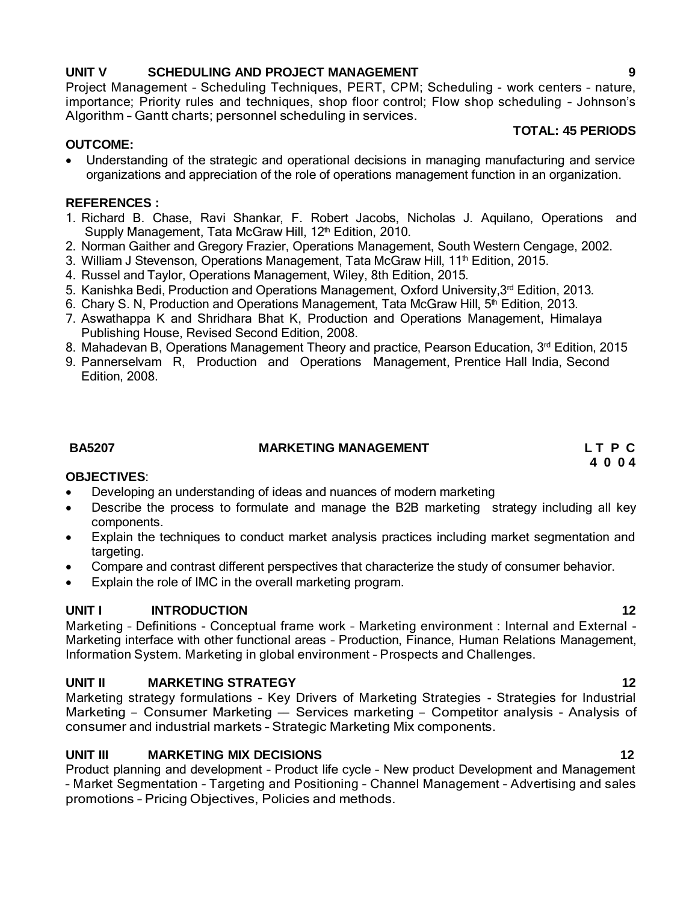### **UNIT V SCHEDULING AND PROJECT MANAGEMENT 9**

Project Management – Scheduling Techniques, PERT, CPM; Scheduling - work centers – nature, importance; Priority rules and techniques, shop floor control; Flow shop scheduling – Johnson's Algorithm – Gantt charts; personnel scheduling in services.

### **TOTAL: 45 PERIODS**

### **OUTCOME:**

 Understanding of the strategic and operational decisions in managing manufacturing and service organizations and appreciation of the role of operations management function in an organization.

#### **REFERENCES :**

- 1. Richard B. Chase, Ravi Shankar, F. Robert Jacobs, Nicholas J. Aquilano, Operations and Supply Management, Tata McGraw Hill, 12<sup>th</sup> Edition, 2010.
- 2. Norman Gaither and Gregory Frazier, Operations Management, South Western Cengage, 2002.
- 3. William J Stevenson, Operations Management, Tata McGraw Hill,  $11<sup>th</sup>$  Edition, 2015.
- 4. Russel and Taylor, Operations Management, Wiley, 8th Edition, 2015.
- 5. Kanishka Bedi, Production and Operations Management, Oxford University,3rd Edition, 2013.
- 6. Chary S. N, Production and Operations Management, Tata McGraw Hill, 5<sup>th</sup> Edition, 2013.
- 7. Aswathappa K and Shridhara Bhat K, Production and Operations Management, Himalaya Publishing House, Revised Second Edition, 2008.
- 8. Mahadevan B, Operations Management Theory and practice, Pearson Education, 3<sup>rd</sup> Edition, 2015
- 9. Pannerselvam R, Production and Operations Management, Prentice Hall India, Second Edition, 2008.

### **BA5207 MARKETING MANAGEMENT L T P C**

**4 0 0 4**

#### **OBJECTIVES**:

- Developing an understanding of ideas and nuances of modern marketing
- Describe the process to formulate and manage the B2B marketing strategy including all key components.
- Explain the techniques to conduct market analysis practices including market segmentation and targeting.
- Compare and contrast different perspectives that characterize the study of consumer behavior.
- Explain the role of IMC in the overall marketing program.

### **UNIT I INTRODUCTION 12**

Marketing – Definitions - Conceptual frame work – Marketing environment : Internal and External - Marketing interface with other functional areas – Production, Finance, Human Relations Management, Information System. Marketing in global environment – Prospects and Challenges.

### **UNIT II MARKETING STRATEGY 12**

Marketing strategy formulations – Key Drivers of Marketing Strategies - Strategies for Industrial Marketing – Consumer Marketing –– Services marketing – Competitor analysis - Analysis of consumer and industrial markets – Strategic Marketing Mix components.

## **UNIT III MARKETING MIX DECISIONS 12**

Product planning and development – Product life cycle – New product Development and Management – Market Segmentation – Targeting and Positioning – Channel Management – Advertising and sales promotions – Pricing Objectives, Policies and methods.